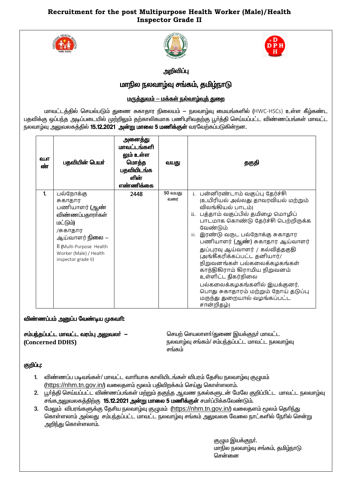## **Recruitment for the post Multipurpose Health Worker (Male)/Health Inspector Grade II**







அறிவிப்பு

# மாநில நலவாழ்வு சங்கம், தமிழ்நாடு

## <u> மருத்துவம் – மக்கள் நல்வாழ்வுத் துறை</u>

மாவட்டத்தில் செயல்படும் துணை சுகாதார நிலையம் — நலவாழ்வு மையங்களில் (HWC-HSCs) உள்ள கீழ்கண்ட பதவிக்கு ஒப்பந்த அடிப்படையில் முற்றிலும் தற்காலிகமாக பணிபுரிவதற்கு பூர்த்தி செய்யப்பட்ட விண்ணப்பங்கள் மாவட்ட நலவாழ்வு அலுவலகத்தில் 15.12.2021 அன்று மாலை 5 மணிக்குள் வரவேற்கப்படுகின்றன.

| வ.எ<br>ண் | பதவியின் பெயர்                                                                                                                                                                           | அனைத்து<br>மாவட்டங்களி<br>லும் உள்ள<br>மொத்த<br>பதவியிடங்க<br>ளின்<br>எண்ணிக்கை | வயது           | தகுதி                                                                                                                                                                                                                                                                                                                                                                                                                                                                                                                                            |
|-----------|------------------------------------------------------------------------------------------------------------------------------------------------------------------------------------------|---------------------------------------------------------------------------------|----------------|--------------------------------------------------------------------------------------------------------------------------------------------------------------------------------------------------------------------------------------------------------------------------------------------------------------------------------------------------------------------------------------------------------------------------------------------------------------------------------------------------------------------------------------------------|
| 1.        | பல்நோக்கு<br>சுகாதார<br>பணியாளர் (ஆண்<br>விண்ணப்பதாரா்கள்<br>மட்டும்)<br>/சுகாதார<br>ஆய்வாளர் <b>நிலை</b> —<br>II (Multi-Purpose Health<br>Worker (Male) / Health<br>inspector grade II) | 2448                                                                            | 50 வயது<br>வரை | i. பன்னிரண்டாம் வகுப்பு தேர்ச்சி<br>(உயிரியல் அல்லது தாவரவியல் மற்றும்<br>விலங்கியல் பாடம்)<br>ii. பத்தாம் வகுப்பில் தமிழை மொழிப்<br>பாடமாக கொண்டு தேர்ச்சி பெற்றிருக்க<br>வேண்டும்<br>இரண்டு வருட பல்நோக்கு சுகாதார<br>iii.<br>பணியாளர் (ஆண்) சுகாதார ஆய்வாளர்<br>துப்புரவு ஆய்வாளர் / கல்வித்தகுதி<br>(அங்கீகரிக்கப்பட்ட தனியார்/<br>நிறுவனங்கள் பல்கலைக்கழகங்கள்<br>காந்திகிராம் கிராமிய நிறுவனம்<br>உள்ளிட்ட நிகர்நிலை<br>பல்கலைக்கழகங்களில் இயக்குனர்,<br>பொது சுகாதாரம் மற்றும் நோய் தடுப்பு<br>மருந்து துறையால் வழங்கப்பட்ட<br>சான்றிதழ்) |

### விண்ணப்பம் அனுப்ப வேண்டிய முகவரி:

 $\sigma$ ம்பந்தப்பட்ட மாவட்ட வரம்பு அலுவலர்  $-$ (**Concerned DDHS)**

செயற் செயலாளா்/துணை இயக்குநா் மாவட்ட நலவாழ்வு சங்கம்/ சம்பந்தப்பட்ட மாவட்ட நலவாழ்வு சங்கம்

### குறிப்பு:

- 1. விண்ணப்ப படிவங்கள்/ மாவட்ட வாரியாக காலியிடங்கள் விபரம் தேசிய நலவாழ்வு குழுமம்  $(https://nhm.tn.gov.in/)$  $(https://nhm.tn.gov.in/)$  $(https://nhm.tn.gov.in/)$  வலைதளம் மூலம் பதிவிறக்கம் செய்து கொள்ளலாம்.
- 2. பூர்த்தி செய்யப்பட்ட விண்ணப்பங்கள் மற்றும் தகுந்த ஆவண நகல்களுடன் மேலே குறிப்பிட்ட மாவட்ட நலவாழ்வு சங்க அலுவலகத்திற்கு 15.12.2021 அன்று மாலை 5 மணிக்குள் சமர்ப்பிக்கவேண்டும்.
- 3. மேலும் விபரங்களுக்கு தேசிய நலவாழ்வு குழுமம் (<https://nhm.tn.gov.in/>) வலைதளம் மூலம் தெரிந்து <u>கொள்ளலாம் அல்லது சம்பந்தப்பட்ட மாவட்ட நலவாம்</u>வ சங்கம் <u>அலு</u>வலக வேலை நாட்களில் நேரில் சென்று அறிந்து கொள்ளலாம்.

குழும இயக்குநா். மாநில நலவாழ்வு சங்கம், தமிழ்நாடு சென்னை